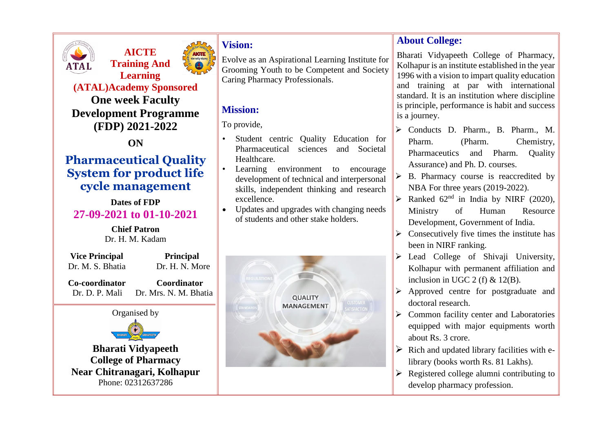

**AICTE Training And Learning** 



**(ATAL)Academy Sponsored**

**One week Faculty Development Programme (FDP) 2021-2022**

**ON**

# **Pharmaceutical Quality System for product life cycle management**

### **Dates of FDP 27-09-2021 to 01-10-2021**

**Chief Patron** Dr. H. M. Kadam

**Vice Principal Principal** 

Dr. M. S. Bhatia Dr. H. N. More

 **Co-coordinator Coordinator** Dr. D. P. Mali Dr. Mrs. N. M. Bhatia



**Bharati Vidyapeeth College of Pharmacy Near Chitranagari, Kolhapur** Phone: 02312637286

## **Vision:**

Evolve as an Aspirational Learning Institute for Grooming Youth to be Competent and Society Caring Pharmacy Professionals.

## **Mission:**

To provide,

- Student centric Quality Education for Pharmaceutical sciences and Societal Healthcare.
- Learning environment to encourage development of technical and interpersonal skills, independent thinking and research excellence.
- Updates and upgrades with changing needs of students and other stake holders.



## **About College:**

Bharati Vidyapeeth College of Pharmacy, Kolhapur is an institute established in the year 1996 with a vision to impart quality education and training at par with international standard. It is an institution where discipline is principle, performance is habit and success is a journey.

- Conducts D. Pharm., B. Pharm., M. Pharm. (Pharm. Chemistry, Pharmaceutics and Pharm. Quality Assurance) and Ph. D. courses.
- B. Pharmacy course is reaccredited by NBA For three years (2019-2022).
- $\triangleright$  Ranked 62<sup>nd</sup> in India by NIRF (2020), Ministry of Human Resource Development, Government of India.
- $\triangleright$  Consecutively five times the institute has been in NIRF ranking.
- $\triangleright$  Lead College of Shivaji University, Kolhapur with permanent affiliation and inclusion in UGC 2 (f)  $& 12(B)$ .
- $\triangleright$  Approved centre for postgraduate and doctoral research.
- $\triangleright$  Common facility center and Laboratories equipped with major equipments worth about Rs. 3 crore.
- $\triangleright$  Rich and updated library facilities with elibrary (books worth Rs. 81 Lakhs).
- $\triangleright$  Registered college alumni contributing to develop pharmacy profession.